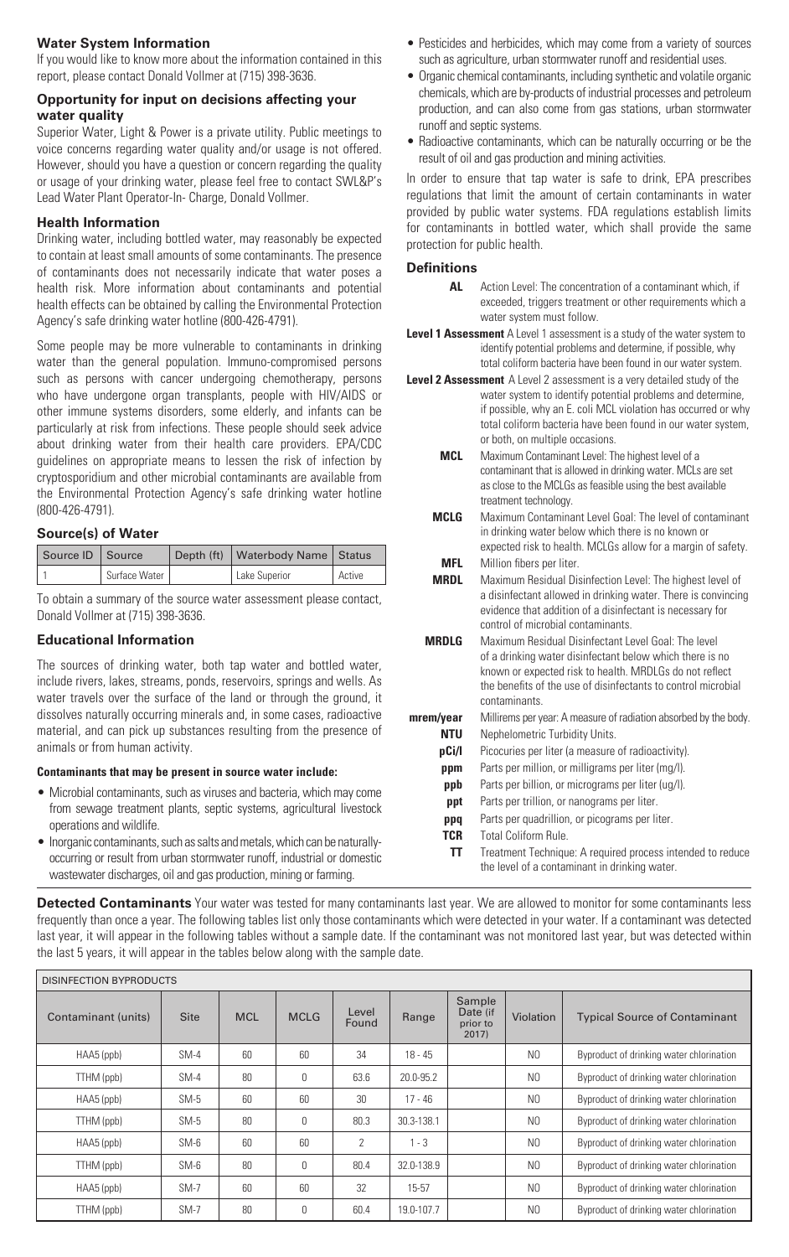# **Water System Information**

If you would like to know more about the information contained in this report, please contact Donald Vollmer at (715) 398-3636.

### **Opportunity for input on decisions affecting your water quality**

Superior Water, Light & Power is a private utility. Public meetings to voice concerns regarding water quality and/or usage is not offered. However, should you have a question or concern regarding the quality or usage of your drinking water, please feel free to contact SWL&P's Lead Water Plant Operator-In- Charge, Donald Vollmer.

# **Health Information**

Drinking water, including bottled water, may reasonably be expected to contain at least small amounts of some contaminants. The presence of contaminants does not necessarily indicate that water poses a health risk. More information about contaminants and potential health effects can be obtained by calling the Environmental Protection Agency's safe drinking water hotline (800-426-4791).

Some people may be more vulnerable to contaminants in drinking water than the general population. Immuno-compromised persons such as persons with cancer undergoing chemotherapy, persons who have undergone organ transplants, people with HIV/AIDS or other immune systems disorders, some elderly, and infants can be particularly at risk from infections. These people should seek advice about drinking water from their health care providers. EPA/CDC guidelines on appropriate means to lessen the risk of infection by cryptosporidium and other microbial contaminants are available from the Environmental Protection Agency's safe drinking water hotline (800-426-4791).

# **Source(s) of Water**

| Source ID Source |               | Depth (ft)   Waterbody Name   Status |        |
|------------------|---------------|--------------------------------------|--------|
|                  | Surface Water | Lake Superior                        | Active |

To obtain a summary of the source water assessment please contact, Donald Vollmer at (715) 398-3636.

## **Educational Information**

The sources of drinking water, both tap water and bottled water, include rivers, lakes, streams, ponds, reservoirs, springs and wells. As water travels over the surface of the land or through the ground, it dissolves naturally occurring minerals and, in some cases, radioactive material, and can pick up substances resulting from the presence of animals or from human activity.

## **Contaminants that may be present in source water include:**

- Microbial contaminants, such as viruses and bacteria, which may come from sewage treatment plants, septic systems, agricultural livestock operations and wildlife.
- Inorganic contaminants, such as salts and metals, which can be naturallyoccurring or result from urban stormwater runoff, industrial or domestic wastewater discharges, oil and gas production, mining or farming.
- Pesticides and herbicides, which may come from a variety of sources such as agriculture, urban stormwater runoff and residential uses.
- Organic chemical contaminants, including synthetic and volatile organic chemicals, which are by-products of industrial processes and petroleum production, and can also come from gas stations, urban stormwater runoff and septic systems.
- Radioactive contaminants, which can be naturally occurring or be the result of oil and gas production and mining activities.

In order to ensure that tap water is safe to drink, EPA prescribes regulations that limit the amount of certain contaminants in water provided by public water systems. FDA regulations establish limits for contaminants in bottled water, which shall provide the same protection for public health.

### **Definitions**

- **AL** Action Level: The concentration of a contaminant which, if exceeded, triggers treatment or other requirements which a water system must follow.
- **Level 1 Assessment** A Level 1 assessment is a study of the water system to identify potential problems and determine, if possible, why total coliform bacteria have been found in our water system.
- **Level 2 Assessment** A Level 2 assessment is a very detailed study of the water system to identify potential problems and determine, if possible, why an E. coli MCL violation has occurred or why total coliform bacteria have been found in our water system, or both, on multiple occasions.
	- **MCL** Maximum Contaminant Level: The highest level of a contaminant that is allowed in drinking water. MCLs are set as close to the MCLGs as feasible using the best available treatment technology.
	- **MCLG** Maximum Contaminant Level Goal: The level of contaminant in drinking water below which there is no known or expected risk to health. MCLGs allow for a margin of safety. **MFL** Million fibers per liter.
	- **MRDL** Maximum Residual Disinfection Level: The highest level of a disinfectant allowed in drinking water. There is convincing evidence that addition of a disinfectant is necessary for control of microbial contaminants.
	- **MRDLG** Maximum Residual Disinfectant Level Goal: The level of a drinking water disinfectant below which there is no known or expected risk to health. MRDLGs do not reflect the benefits of the use of disinfectants to control microbial contaminants.
- **mrem/year** Millirems per year: A measure of radiation absorbed by the body. **NTU** Nephelometric Turbidity Units. **pCi/l** Picocuries per liter (a measure of radioactivity).
	- **ppm** Parts per million, or milligrams per liter (mg/l).
	- **ppb** Parts per billion, or micrograms per liter (ug/l).
	- **ppt** Parts per trillion, or nanograms per liter.
	- **ppq** Parts per quadrillion, or picograms per liter.
	- **TCR** Total Coliform Rule.
	- **TT** Treatment Technique: A required process intended to reduce the level of a contaminant in drinking water.

**Detected Contaminants** Your water was tested for many contaminants last year. We are allowed to monitor for some contaminants less frequently than once a year. The following tables list only those contaminants which were detected in your water. If a contaminant was detected last year, it will appear in the following tables without a sample date. If the contaminant was not monitored last year, but was detected within the last 5 years, it will appear in the tables below along with the sample date.

| <b>DISINFECTION BYPRODUCTS</b> |             |            |              |                |            |                                         |                  |                                          |
|--------------------------------|-------------|------------|--------------|----------------|------------|-----------------------------------------|------------------|------------------------------------------|
| Contaminant (units)            | <b>Site</b> | <b>MCL</b> | <b>MCLG</b>  | Level<br>Found | Range      | Sample<br>Date (if<br>prior to<br>2017) | <b>Violation</b> | <b>Typical Source of Contaminant</b>     |
| HAA5 (ppb)                     | $SM-4$      | 60         | 60           | 34             | $18 - 45$  |                                         | N <sub>0</sub>   | Byproduct of drinking water chlorination |
| TTHM (ppb)                     | $SM-4$      | 80         | $\Omega$     | 63.6           | 20.0-95.2  |                                         | N <sub>0</sub>   | Byproduct of drinking water chlorination |
| HAA5 (ppb)                     | $SM-5$      | 60         | 60           | 30             | $17 - 46$  |                                         | N <sub>0</sub>   | Byproduct of drinking water chlorination |
| TTHM (ppb)                     | $SM-5$      | 80         | $\mathbf{0}$ | 80.3           | 30.3-138.1 |                                         | N <sub>0</sub>   | Byproduct of drinking water chlorination |
| HAA5 (ppb)                     | $SM-6$      | 60         | 60           | 2              | $1 - 3$    |                                         | N <sub>0</sub>   | Byproduct of drinking water chlorination |
| TTHM (ppb)                     | SM-6        | 80         | $\Omega$     | 80.4           | 32.0-138.9 |                                         | N <sub>0</sub>   | Byproduct of drinking water chlorination |
| HAA5 (ppb)                     | $SM-7$      | 60         | 60           | 32             | $15 - 57$  |                                         | N <sub>0</sub>   | Byproduct of drinking water chlorination |
| TTHM (ppb)                     | $SM-7$      | 80         | $\theta$     | 60.4           | 19.0-107.7 |                                         | N <sub>0</sub>   | Byproduct of drinking water chlorination |